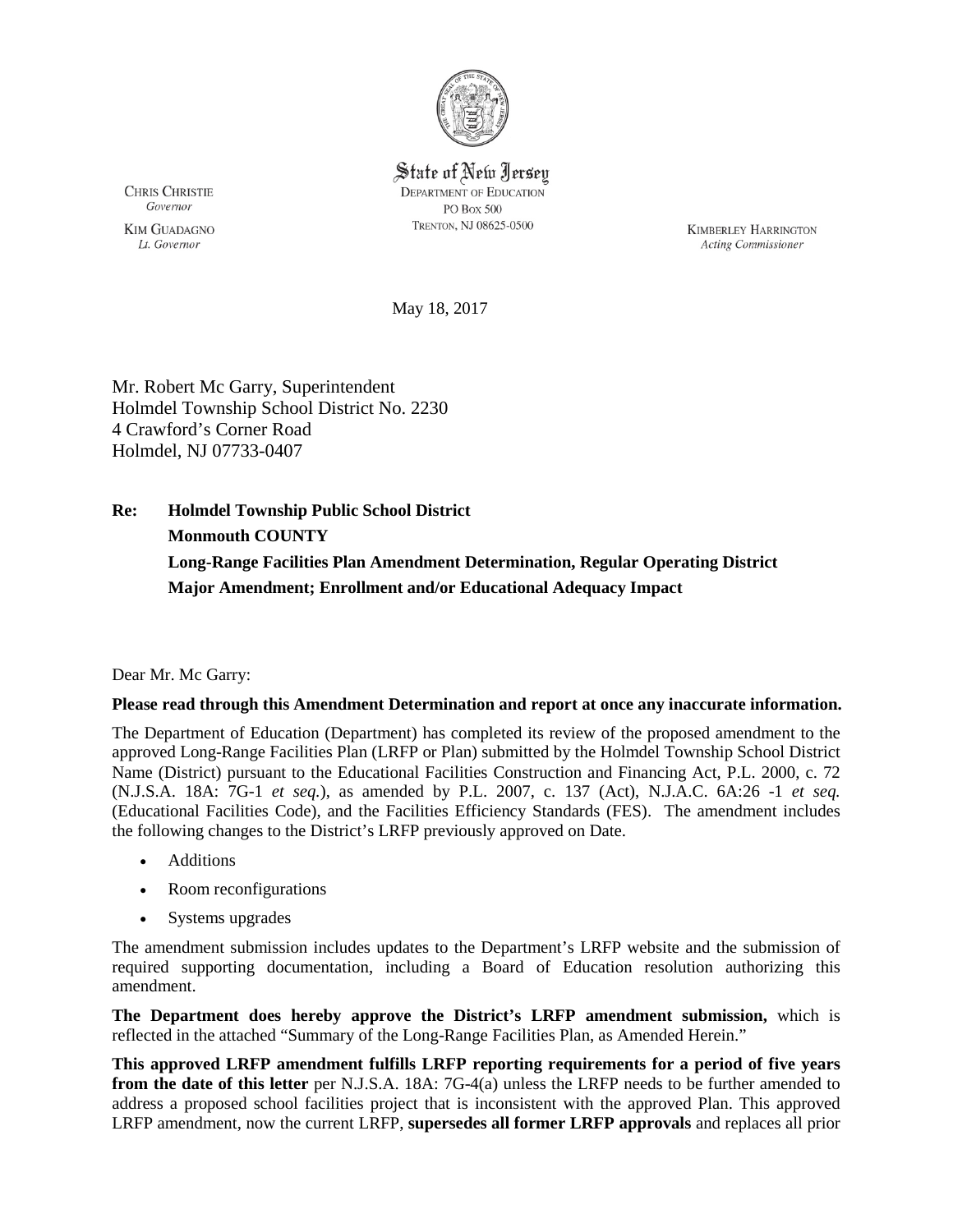

State of New Jersey **DEPARTMENT OF EDUCATION** PO Box 500 TRENTON, NJ 08625-0500

**CHRIS CHRISTIE** Governor

**KIM GUADAGNO** Lt. Governor

**KIMBERLEY HARRINGTON** Acting Commissioner

May 18, 2017

Mr. Robert Mc Garry, Superintendent Holmdel Township School District No. 2230 4 Crawford's Corner Road Holmdel, NJ 07733-0407

**Re: Holmdel Township Public School District Monmouth COUNTY Long-Range Facilities Plan Amendment Determination, Regular Operating District Major Amendment; Enrollment and/or Educational Adequacy Impact**

Dear Mr. Mc Garry:

### **Please read through this Amendment Determination and report at once any inaccurate information.**

The Department of Education (Department) has completed its review of the proposed amendment to the approved Long-Range Facilities Plan (LRFP or Plan) submitted by the Holmdel Township School District Name (District) pursuant to the Educational Facilities Construction and Financing Act, P.L. 2000, c. 72 (N.J.S.A. 18A: 7G-1 *et seq.*), as amended by P.L. 2007, c. 137 (Act), N.J.A.C. 6A:26 -1 *et seq.* (Educational Facilities Code), and the Facilities Efficiency Standards (FES). The amendment includes the following changes to the District's LRFP previously approved on Date.

- Additions
- Room reconfigurations
- Systems upgrades

The amendment submission includes updates to the Department's LRFP website and the submission of required supporting documentation, including a Board of Education resolution authorizing this amendment.

**The Department does hereby approve the District's LRFP amendment submission,** which is reflected in the attached "Summary of the Long-Range Facilities Plan, as Amended Herein."

**This approved LRFP amendment fulfills LRFP reporting requirements for a period of five years from the date of this letter** per N.J.S.A. 18A: 7G-4(a) unless the LRFP needs to be further amended to address a proposed school facilities project that is inconsistent with the approved Plan. This approved LRFP amendment, now the current LRFP, **supersedes all former LRFP approvals** and replaces all prior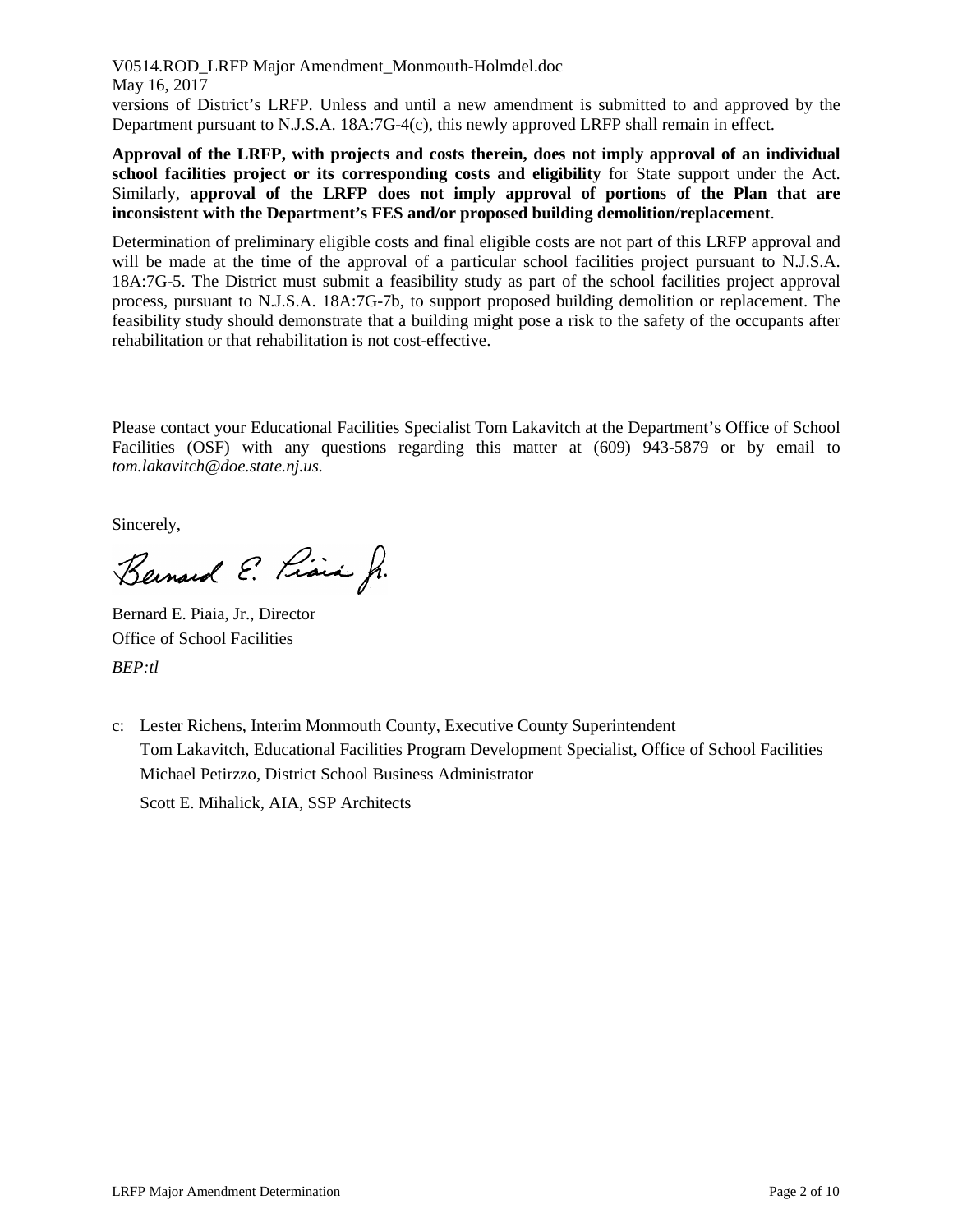V0514.ROD\_LRFP Major Amendment\_Monmouth-Holmdel.doc May 16, 2017 versions of District's LRFP. Unless and until a new amendment is submitted to and approved by the Department pursuant to N.J.S.A. 18A:7G-4(c), this newly approved LRFP shall remain in effect.

**Approval of the LRFP, with projects and costs therein, does not imply approval of an individual school facilities project or its corresponding costs and eligibility** for State support under the Act. Similarly, **approval of the LRFP does not imply approval of portions of the Plan that are inconsistent with the Department's FES and/or proposed building demolition/replacement**.

Determination of preliminary eligible costs and final eligible costs are not part of this LRFP approval and will be made at the time of the approval of a particular school facilities project pursuant to N.J.S.A. 18A:7G-5. The District must submit a feasibility study as part of the school facilities project approval process, pursuant to N.J.S.A. 18A:7G-7b, to support proposed building demolition or replacement. The feasibility study should demonstrate that a building might pose a risk to the safety of the occupants after rehabilitation or that rehabilitation is not cost-effective.

Please contact your Educational Facilities Specialist Tom Lakavitch at the Department's Office of School Facilities (OSF) with any questions regarding this matter at (609) 943-5879 or by email to *tom.lakavitch@doe.state.nj.us.*

Sincerely,

Bernard E. Princ Jr.

Bernard E. Piaia, Jr., Director Office of School Facilities *BEP:tl*

c: Lester Richens, Interim Monmouth County, Executive County Superintendent Tom Lakavitch, Educational Facilities Program Development Specialist, Office of School Facilities Michael Petirzzo, District School Business Administrator

Scott E. Mihalick, AIA, SSP Architects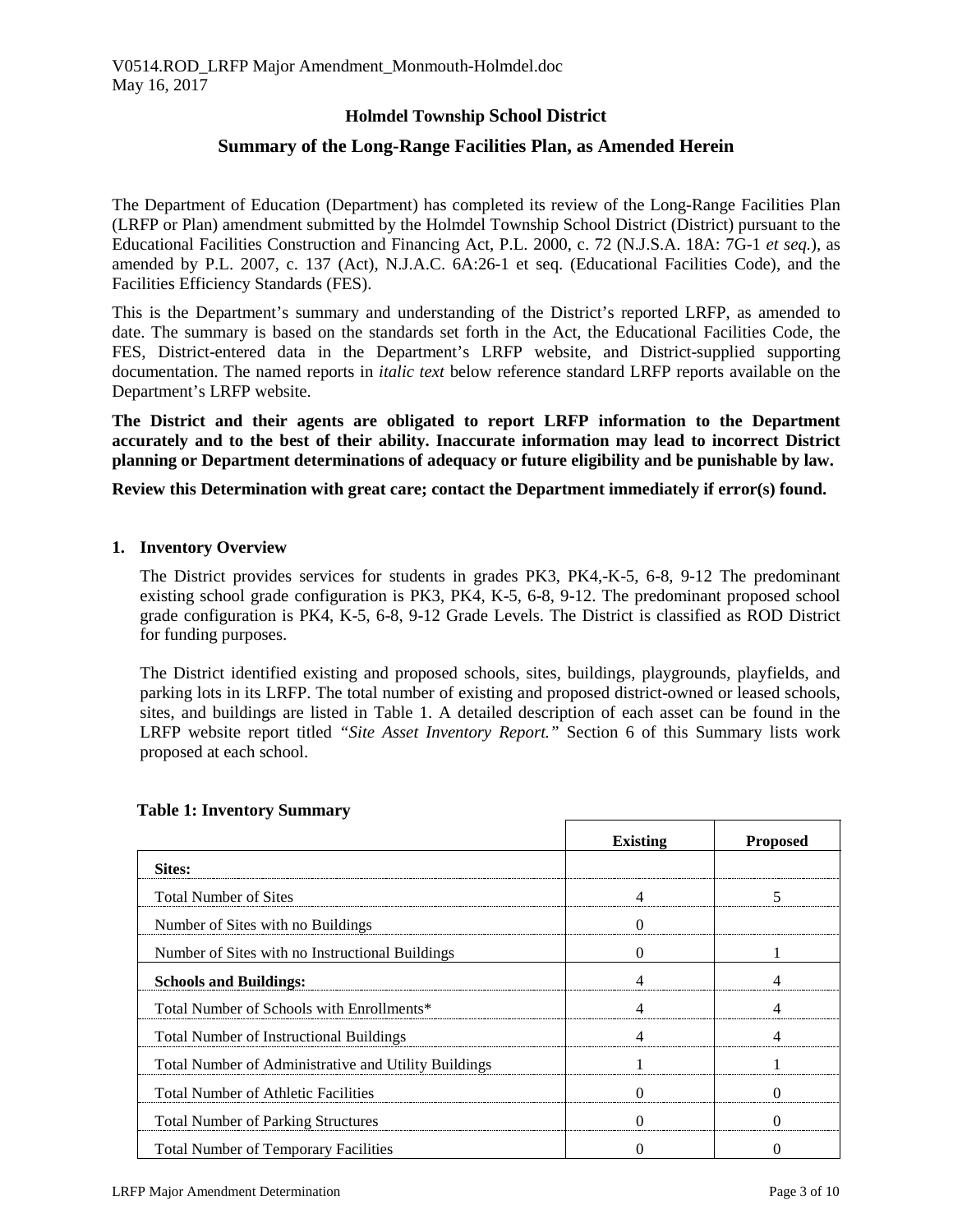# **Holmdel Township School District**

# **Summary of the Long-Range Facilities Plan, as Amended Herein**

The Department of Education (Department) has completed its review of the Long-Range Facilities Plan (LRFP or Plan) amendment submitted by the Holmdel Township School District (District) pursuant to the Educational Facilities Construction and Financing Act, P.L. 2000, c. 72 (N.J.S.A. 18A: 7G-1 *et seq.*), as amended by P.L. 2007, c. 137 (Act), N.J.A.C. 6A:26-1 et seq. (Educational Facilities Code), and the Facilities Efficiency Standards (FES).

This is the Department's summary and understanding of the District's reported LRFP, as amended to date. The summary is based on the standards set forth in the Act, the Educational Facilities Code, the FES, District-entered data in the Department's LRFP website, and District-supplied supporting documentation. The named reports in *italic text* below reference standard LRFP reports available on the Department's LRFP website.

**The District and their agents are obligated to report LRFP information to the Department accurately and to the best of their ability. Inaccurate information may lead to incorrect District planning or Department determinations of adequacy or future eligibility and be punishable by law.** 

**Review this Determination with great care; contact the Department immediately if error(s) found.**

#### **1. Inventory Overview**

The District provides services for students in grades PK3, PK4,-K-5, 6-8, 9-12 The predominant existing school grade configuration is PK3, PK4, K-5, 6-8, 9-12. The predominant proposed school grade configuration is PK4, K-5, 6-8, 9-12 Grade Levels. The District is classified as ROD District for funding purposes.

The District identified existing and proposed schools, sites, buildings, playgrounds, playfields, and parking lots in its LRFP. The total number of existing and proposed district-owned or leased schools, sites, and buildings are listed in Table 1. A detailed description of each asset can be found in the LRFP website report titled *"Site Asset Inventory Report."* Section 6 of this Summary lists work proposed at each school.

|                                                      | <b>Existing</b> | <b>Proposed</b> |
|------------------------------------------------------|-----------------|-----------------|
| Sites:                                               |                 |                 |
| <b>Total Number of Sites</b>                         |                 |                 |
| Number of Sites with no Buildings                    |                 |                 |
| Number of Sites with no Instructional Buildings      |                 |                 |
| <b>Schools and Buildings:</b>                        |                 |                 |
| Total Number of Schools with Enrollments*            |                 |                 |
| <b>Total Number of Instructional Buildings</b>       |                 |                 |
| Total Number of Administrative and Utility Buildings |                 |                 |
| <b>Total Number of Athletic Facilities</b>           |                 |                 |
| <b>Total Number of Parking Structures</b>            |                 |                 |
| <b>Total Number of Temporary Facilities</b>          |                 |                 |

#### **Table 1: Inventory Summary**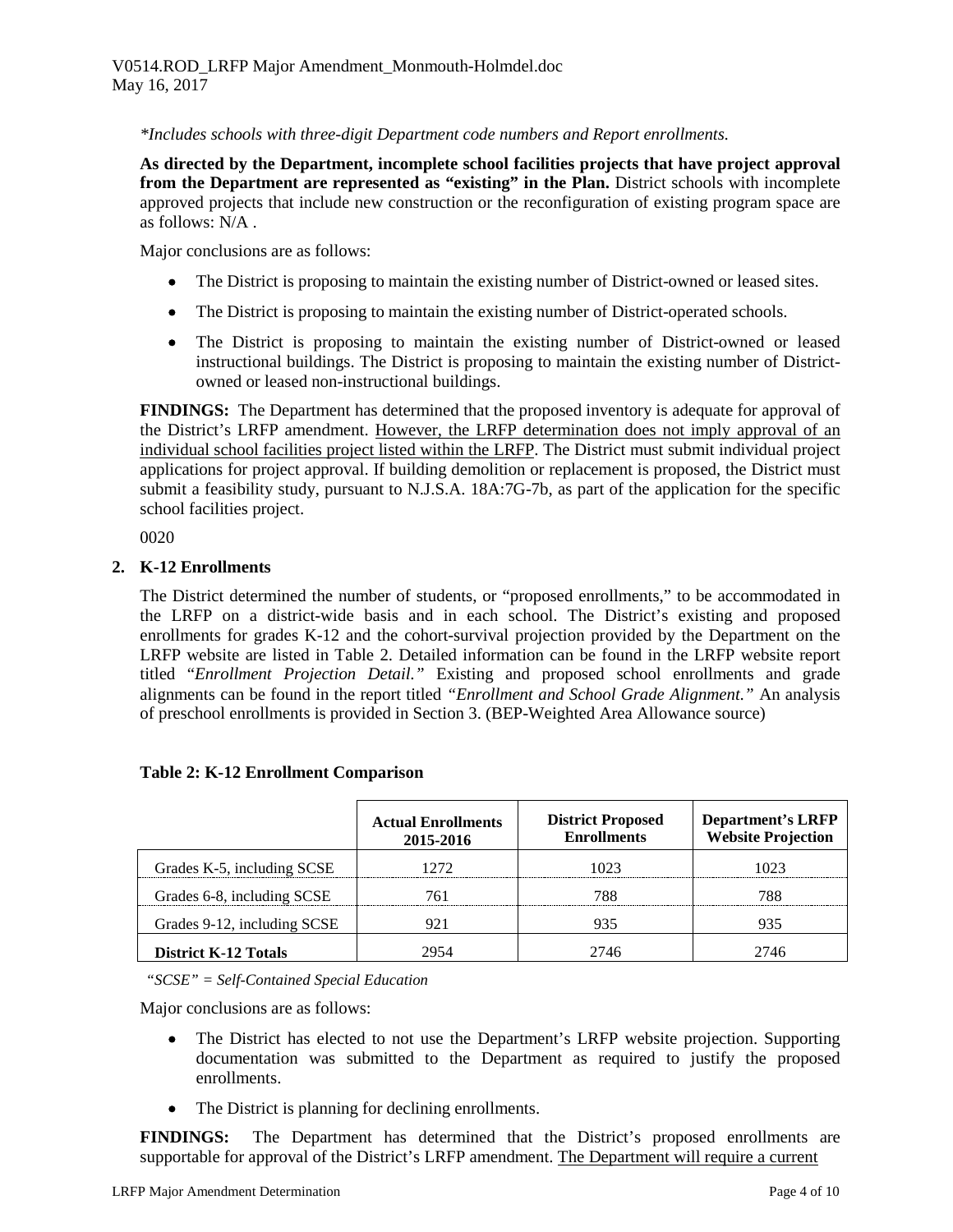*\*Includes schools with three-digit Department code numbers and Report enrollments.*

**As directed by the Department, incomplete school facilities projects that have project approval from the Department are represented as "existing" in the Plan.** District schools with incomplete approved projects that include new construction or the reconfiguration of existing program space are as follows: N/A .

Major conclusions are as follows:

- The District is proposing to maintain the existing number of District-owned or leased sites.
- The District is proposing to maintain the existing number of District-operated schools.
- The District is proposing to maintain the existing number of District-owned or leased instructional buildings. The District is proposing to maintain the existing number of Districtowned or leased non-instructional buildings.

**FINDINGS:** The Department has determined that the proposed inventory is adequate for approval of the District's LRFP amendment. However, the LRFP determination does not imply approval of an individual school facilities project listed within the LRFP. The District must submit individual project applications for project approval. If building demolition or replacement is proposed, the District must submit a feasibility study, pursuant to N.J.S.A. 18A:7G-7b, as part of the application for the specific school facilities project.

0020

# **2. K-12 Enrollments**

The District determined the number of students, or "proposed enrollments," to be accommodated in the LRFP on a district-wide basis and in each school. The District's existing and proposed enrollments for grades K-12 and the cohort-survival projection provided by the Department on the LRFP website are listed in Table 2. Detailed information can be found in the LRFP website report titled "*Enrollment Projection Detail."* Existing and proposed school enrollments and grade alignments can be found in the report titled *"Enrollment and School Grade Alignment."* An analysis of preschool enrollments is provided in Section 3. (BEP-Weighted Area Allowance source)

|                             | <b>Actual Enrollments</b><br>2015-2016 | <b>District Proposed</b><br><b>Enrollments</b> | <b>Department's LRFP</b><br><b>Website Projection</b> |
|-----------------------------|----------------------------------------|------------------------------------------------|-------------------------------------------------------|
| Grades K-5, including SCSE  | 1272                                   | 1023                                           | 1023                                                  |
| Grades 6-8, including SCSE  | 76 I                                   | 788                                            | 788                                                   |
| Grades 9-12, including SCSE |                                        | 935                                            | 935                                                   |
| <b>District K-12 Totals</b> | 2954                                   | 2746                                           | 7746                                                  |

### **Table 2: K-12 Enrollment Comparison**

*"SCSE" = Self-Contained Special Education*

Major conclusions are as follows:

- The District has elected to not use the Department's LRFP website projection. Supporting documentation was submitted to the Department as required to justify the proposed enrollments.
- The District is planning for declining enrollments.

**FINDINGS:** The Department has determined that the District's proposed enrollments are supportable for approval of the District's LRFP amendment. The Department will require a current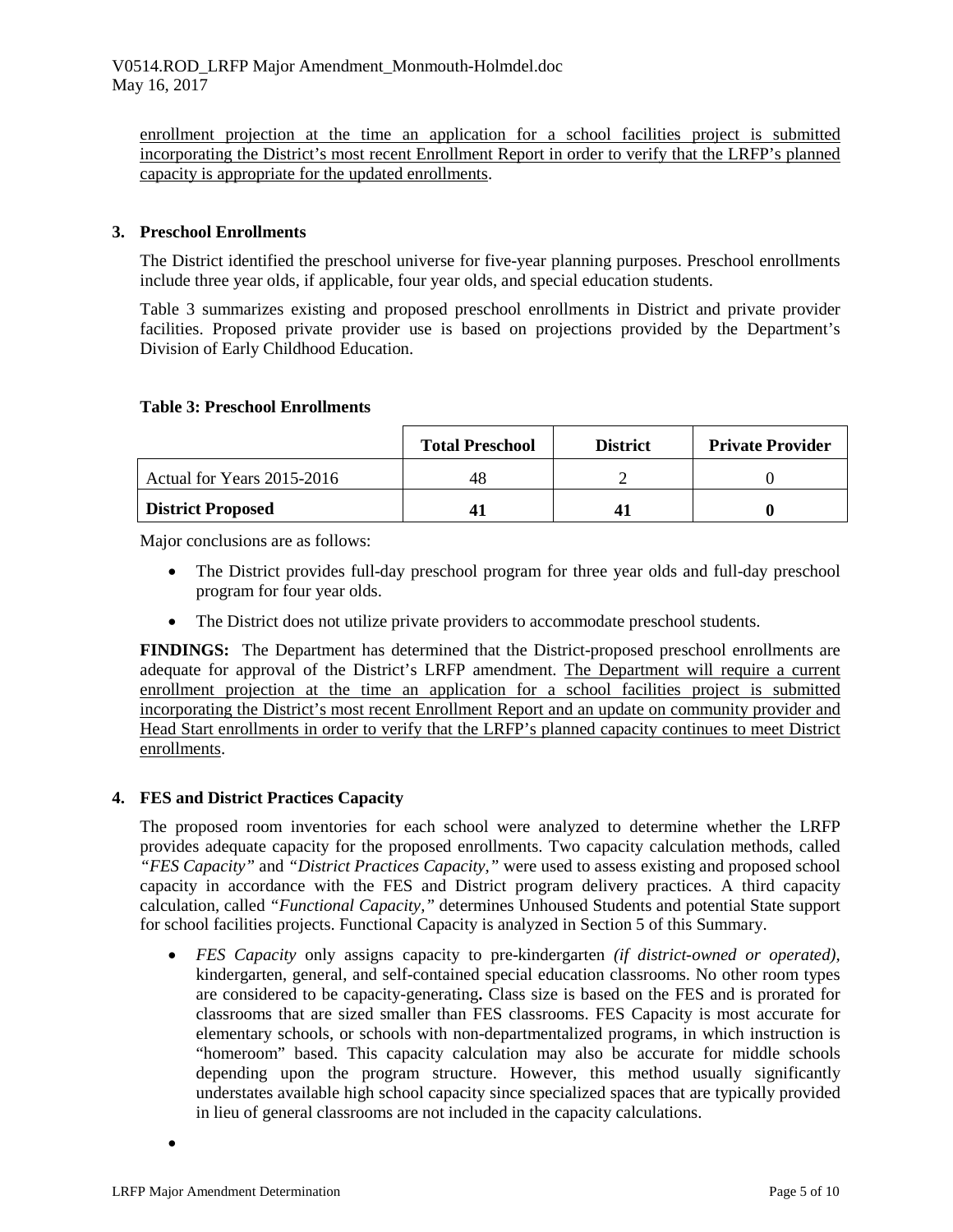enrollment projection at the time an application for a school facilities project is submitted incorporating the District's most recent Enrollment Report in order to verify that the LRFP's planned capacity is appropriate for the updated enrollments.

## **3. Preschool Enrollments**

The District identified the preschool universe for five-year planning purposes. Preschool enrollments include three year olds, if applicable, four year olds, and special education students.

Table 3 summarizes existing and proposed preschool enrollments in District and private provider facilities. Proposed private provider use is based on projections provided by the Department's Division of Early Childhood Education.

### **Table 3: Preschool Enrollments**

|                            | <b>Total Preschool</b> | <b>District</b> | <b>Private Provider</b> |
|----------------------------|------------------------|-----------------|-------------------------|
| Actual for Years 2015-2016 | 48                     |                 |                         |
| <b>District Proposed</b>   |                        |                 |                         |

Major conclusions are as follows:

- The District provides full-day preschool program for three year olds and full-day preschool program for four year olds.
- The District does not utilize private providers to accommodate preschool students.

**FINDINGS:** The Department has determined that the District-proposed preschool enrollments are adequate for approval of the District's LRFP amendment. The Department will require a current enrollment projection at the time an application for a school facilities project is submitted incorporating the District's most recent Enrollment Report and an update on community provider and Head Start enrollments in order to verify that the LRFP's planned capacity continues to meet District enrollments.

### **4. FES and District Practices Capacity**

The proposed room inventories for each school were analyzed to determine whether the LRFP provides adequate capacity for the proposed enrollments. Two capacity calculation methods, called *"FES Capacity"* and *"District Practices Capacity,"* were used to assess existing and proposed school capacity in accordance with the FES and District program delivery practices. A third capacity calculation, called *"Functional Capacity,"* determines Unhoused Students and potential State support for school facilities projects. Functional Capacity is analyzed in Section 5 of this Summary.

• *FES Capacity* only assigns capacity to pre-kindergarten *(if district-owned or operated),* kindergarten, general, and self-contained special education classrooms. No other room types are considered to be capacity-generating**.** Class size is based on the FES and is prorated for classrooms that are sized smaller than FES classrooms. FES Capacity is most accurate for elementary schools, or schools with non-departmentalized programs, in which instruction is "homeroom" based. This capacity calculation may also be accurate for middle schools depending upon the program structure. However, this method usually significantly understates available high school capacity since specialized spaces that are typically provided in lieu of general classrooms are not included in the capacity calculations.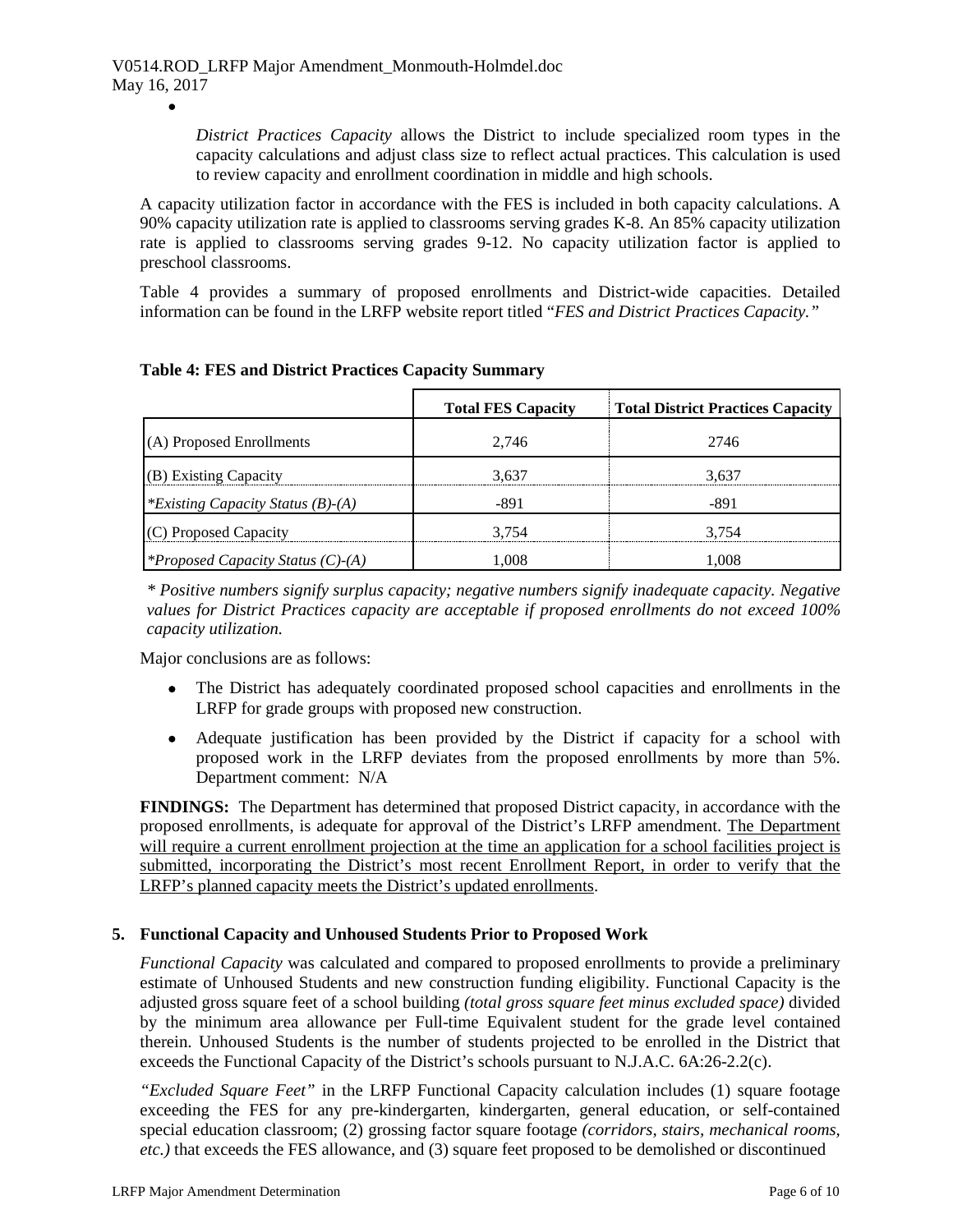•

*District Practices Capacity* allows the District to include specialized room types in the capacity calculations and adjust class size to reflect actual practices. This calculation is used to review capacity and enrollment coordination in middle and high schools.

A capacity utilization factor in accordance with the FES is included in both capacity calculations. A 90% capacity utilization rate is applied to classrooms serving grades K-8. An 85% capacity utilization rate is applied to classrooms serving grades 9-12. No capacity utilization factor is applied to preschool classrooms.

Table 4 provides a summary of proposed enrollments and District-wide capacities. Detailed information can be found in the LRFP website report titled "*FES and District Practices Capacity."*

|                                          | <b>Total FES Capacity</b> | <b>Total District Practices Capacity</b> |
|------------------------------------------|---------------------------|------------------------------------------|
| (A) Proposed Enrollments                 | 2.746                     | 2746                                     |
| (B) Existing Capacity                    | 3.637                     | 3.637                                    |
| *Existing Capacity Status $(B)$ - $(A)$  | -891                      | $-891$                                   |
| (C) Proposed Capacity                    | 3.754                     | 3.754                                    |
| <i>*Proposed Capacity Status (C)-(A)</i> | .008                      | 1.008                                    |

# **Table 4: FES and District Practices Capacity Summary**

*\* Positive numbers signify surplus capacity; negative numbers signify inadequate capacity. Negative values for District Practices capacity are acceptable if proposed enrollments do not exceed 100% capacity utilization.*

Major conclusions are as follows:

- The District has adequately coordinated proposed school capacities and enrollments in the LRFP for grade groups with proposed new construction.
- Adequate justification has been provided by the District if capacity for a school with proposed work in the LRFP deviates from the proposed enrollments by more than 5%. Department comment: N/A

**FINDINGS:** The Department has determined that proposed District capacity, in accordance with the proposed enrollments, is adequate for approval of the District's LRFP amendment. The Department will require a current enrollment projection at the time an application for a school facilities project is submitted, incorporating the District's most recent Enrollment Report, in order to verify that the LRFP's planned capacity meets the District's updated enrollments.

### **5. Functional Capacity and Unhoused Students Prior to Proposed Work**

*Functional Capacity* was calculated and compared to proposed enrollments to provide a preliminary estimate of Unhoused Students and new construction funding eligibility. Functional Capacity is the adjusted gross square feet of a school building *(total gross square feet minus excluded space)* divided by the minimum area allowance per Full-time Equivalent student for the grade level contained therein. Unhoused Students is the number of students projected to be enrolled in the District that exceeds the Functional Capacity of the District's schools pursuant to N.J.A.C. 6A:26-2.2(c).

*"Excluded Square Feet"* in the LRFP Functional Capacity calculation includes (1) square footage exceeding the FES for any pre-kindergarten, kindergarten, general education, or self-contained special education classroom; (2) grossing factor square footage *(corridors, stairs, mechanical rooms, etc.)* that exceeds the FES allowance, and (3) square feet proposed to be demolished or discontinued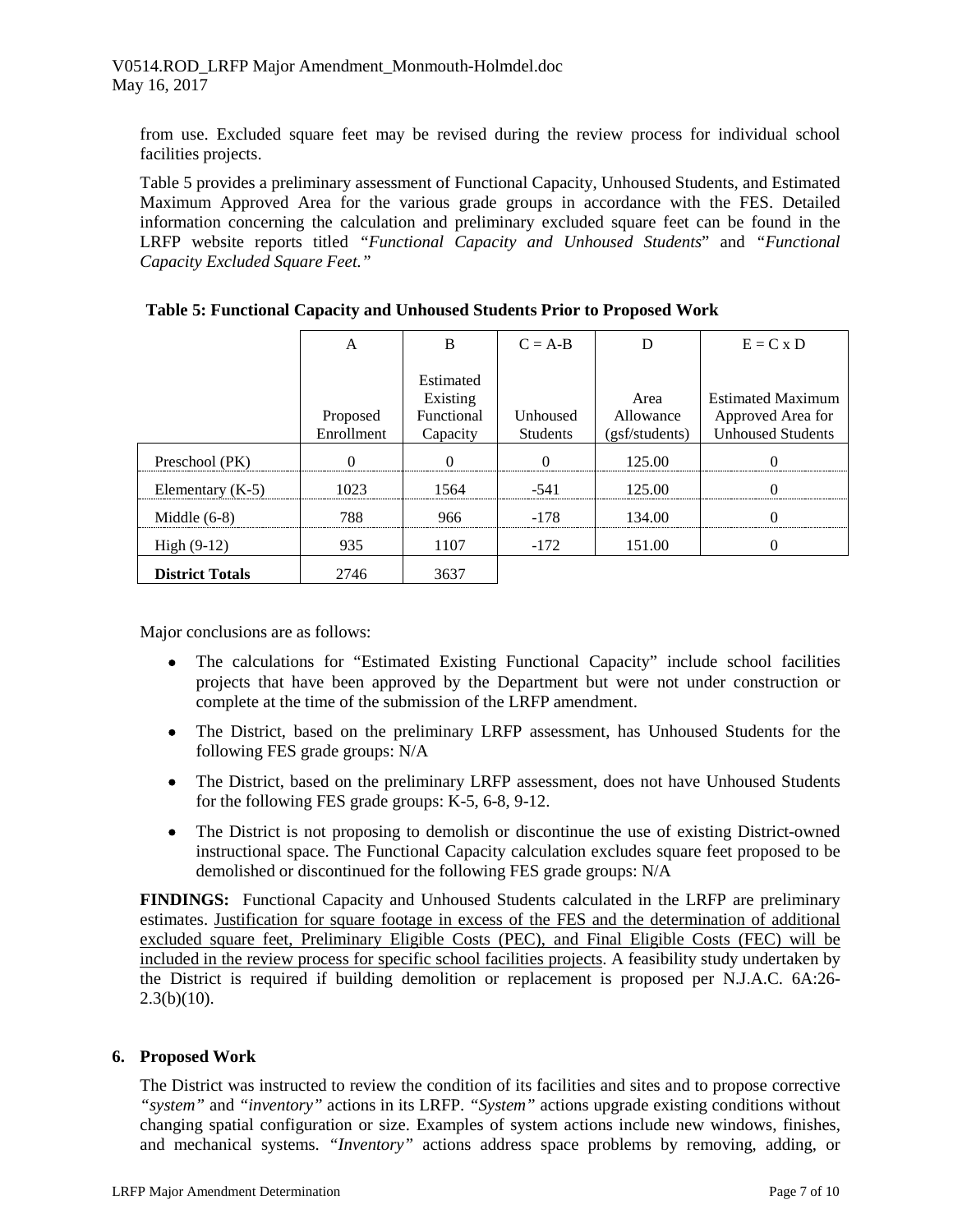from use. Excluded square feet may be revised during the review process for individual school facilities projects.

Table 5 provides a preliminary assessment of Functional Capacity, Unhoused Students, and Estimated Maximum Approved Area for the various grade groups in accordance with the FES. Detailed information concerning the calculation and preliminary excluded square feet can be found in the LRFP website reports titled *"Functional Capacity and Unhoused Students*" and *"Functional Capacity Excluded Square Feet."*

|                        | A                      |                                                 | $C = A-B$                   |                                     | $E = C x D$                                                               |
|------------------------|------------------------|-------------------------------------------------|-----------------------------|-------------------------------------|---------------------------------------------------------------------------|
|                        | Proposed<br>Enrollment | Estimated<br>Existing<br>Functional<br>Capacity | Unhoused<br><b>Students</b> | Area<br>Allowance<br>(gsf/students) | <b>Estimated Maximum</b><br>Approved Area for<br><b>Unhoused Students</b> |
| Preschool (PK)         |                        |                                                 |                             | 125.00                              |                                                                           |
| Elementary $(K-5)$     | 1023                   | 1564                                            | $-541$                      | 125.00                              |                                                                           |
| Middle $(6-8)$         | 788                    | 966                                             | -178                        | 134.00                              |                                                                           |
| High $(9-12)$          | 935                    | 1107                                            | $-172$                      | 151.00                              |                                                                           |
| <b>District Totals</b> | 2746                   | 3637                                            |                             |                                     |                                                                           |

| Table 5: Functional Capacity and Unhoused Students Prior to Proposed Work |  |  |  |  |  |  |  |
|---------------------------------------------------------------------------|--|--|--|--|--|--|--|
|---------------------------------------------------------------------------|--|--|--|--|--|--|--|

Major conclusions are as follows:

- The calculations for "Estimated Existing Functional Capacity" include school facilities projects that have been approved by the Department but were not under construction or complete at the time of the submission of the LRFP amendment.
- The District, based on the preliminary LRFP assessment, has Unhoused Students for the following FES grade groups: N/A
- The District, based on the preliminary LRFP assessment, does not have Unhoused Students for the following FES grade groups: K-5, 6-8, 9-12.
- The District is not proposing to demolish or discontinue the use of existing District-owned instructional space. The Functional Capacity calculation excludes square feet proposed to be demolished or discontinued for the following FES grade groups: N/A

**FINDINGS:** Functional Capacity and Unhoused Students calculated in the LRFP are preliminary estimates. Justification for square footage in excess of the FES and the determination of additional excluded square feet, Preliminary Eligible Costs (PEC), and Final Eligible Costs (FEC) will be included in the review process for specific school facilities projects. A feasibility study undertaken by the District is required if building demolition or replacement is proposed per N.J.A.C. 6A:26-  $2.3(b)(10)$ .

# **6. Proposed Work**

The District was instructed to review the condition of its facilities and sites and to propose corrective *"system"* and *"inventory"* actions in its LRFP. *"System"* actions upgrade existing conditions without changing spatial configuration or size. Examples of system actions include new windows, finishes, and mechanical systems. *"Inventory"* actions address space problems by removing, adding, or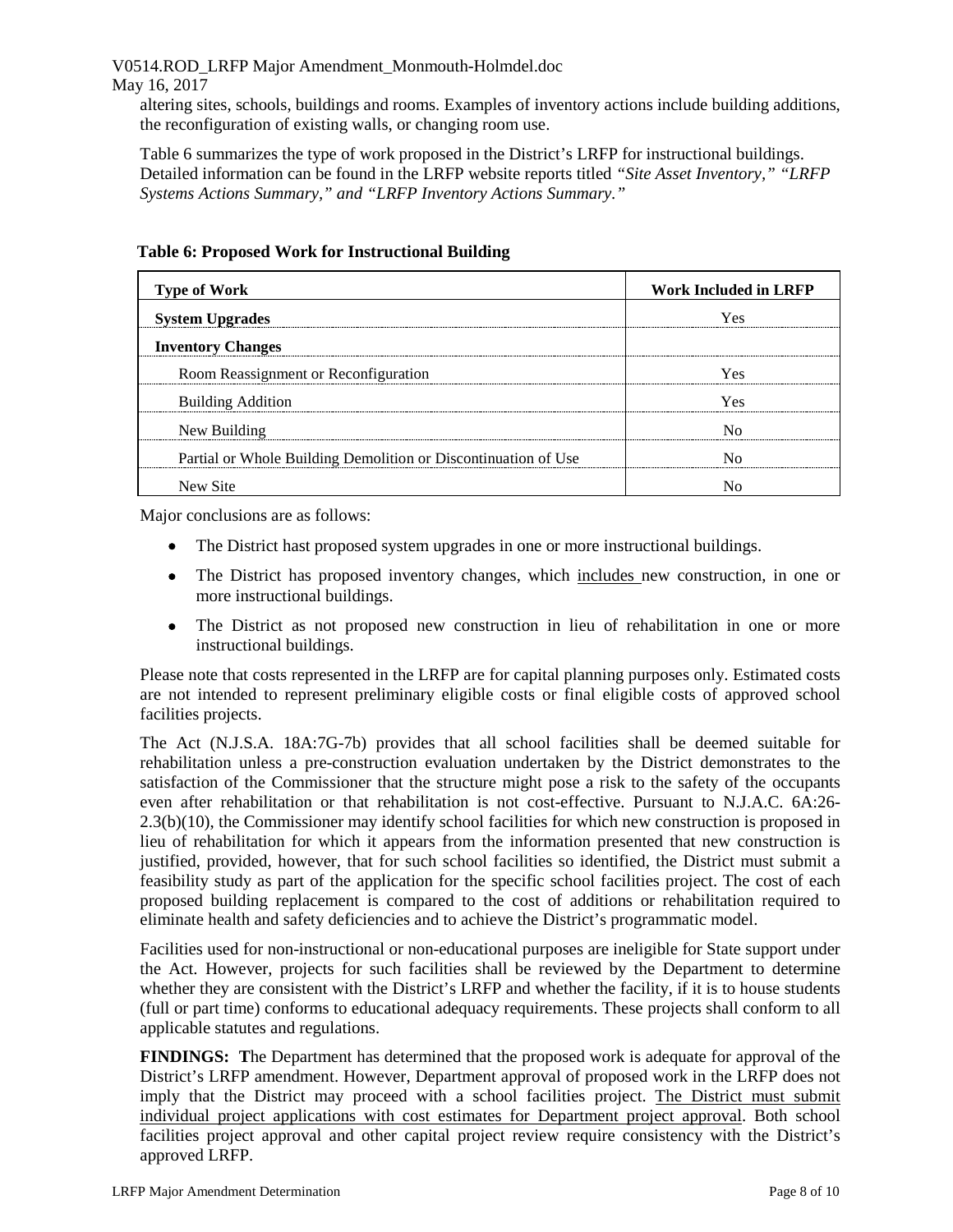V0514.ROD\_LRFP Major Amendment\_Monmouth-Holmdel.doc

## May 16, 2017

altering sites, schools, buildings and rooms. Examples of inventory actions include building additions, the reconfiguration of existing walls, or changing room use.

Table 6 summarizes the type of work proposed in the District's LRFP for instructional buildings. Detailed information can be found in the LRFP website reports titled *"Site Asset Inventory," "LRFP Systems Actions Summary," and "LRFP Inventory Actions Summary."* 

| <b>Type of Work</b>                                            | <b>Work Included in LRFP</b> |
|----------------------------------------------------------------|------------------------------|
| <b>System Upgrades</b>                                         | Yes                          |
| <b>Inventory Changes</b>                                       |                              |
| Room Reassignment or Reconfiguration                           | ÝΑS                          |
| <b>Building Addition</b>                                       | Yes                          |
| New Building                                                   |                              |
| Partial or Whole Building Demolition or Discontinuation of Use |                              |
| New Site                                                       |                              |

# **Table 6: Proposed Work for Instructional Building**

Major conclusions are as follows:

- The District hast proposed system upgrades in one or more instructional buildings.
- The District has proposed inventory changes, which includes new construction, in one or more instructional buildings.
- The District as not proposed new construction in lieu of rehabilitation in one or more instructional buildings.

Please note that costs represented in the LRFP are for capital planning purposes only. Estimated costs are not intended to represent preliminary eligible costs or final eligible costs of approved school facilities projects.

The Act (N.J.S.A. 18A:7G-7b) provides that all school facilities shall be deemed suitable for rehabilitation unless a pre-construction evaluation undertaken by the District demonstrates to the satisfaction of the Commissioner that the structure might pose a risk to the safety of the occupants even after rehabilitation or that rehabilitation is not cost-effective. Pursuant to N.J.A.C. 6A:26- 2.3(b)(10), the Commissioner may identify school facilities for which new construction is proposed in lieu of rehabilitation for which it appears from the information presented that new construction is justified, provided, however, that for such school facilities so identified, the District must submit a feasibility study as part of the application for the specific school facilities project. The cost of each proposed building replacement is compared to the cost of additions or rehabilitation required to eliminate health and safety deficiencies and to achieve the District's programmatic model.

Facilities used for non-instructional or non-educational purposes are ineligible for State support under the Act. However, projects for such facilities shall be reviewed by the Department to determine whether they are consistent with the District's LRFP and whether the facility, if it is to house students (full or part time) conforms to educational adequacy requirements. These projects shall conform to all applicable statutes and regulations.

**FINDINGS: T**he Department has determined that the proposed work is adequate for approval of the District's LRFP amendment. However, Department approval of proposed work in the LRFP does not imply that the District may proceed with a school facilities project. The District must submit individual project applications with cost estimates for Department project approval. Both school facilities project approval and other capital project review require consistency with the District's approved LRFP.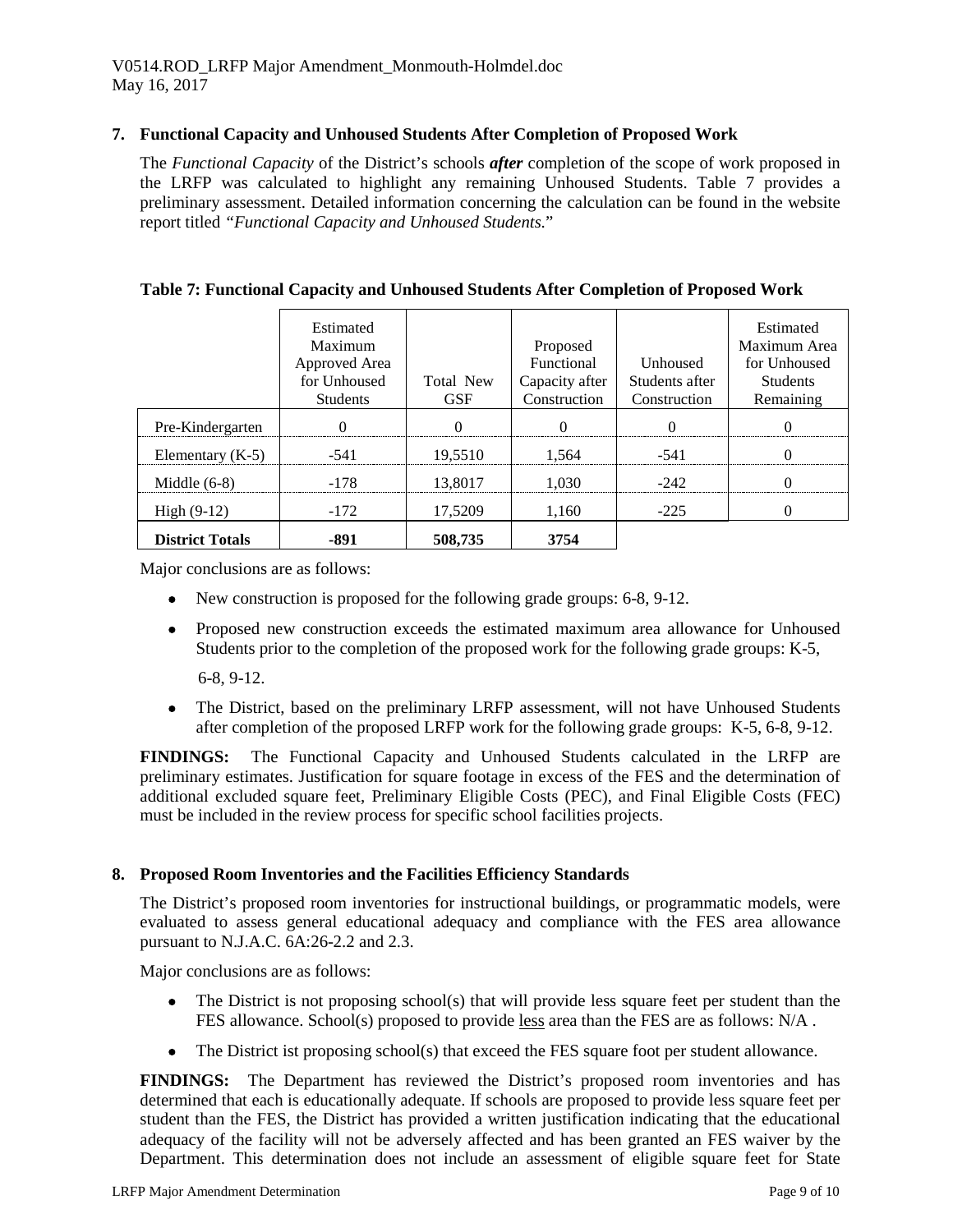## **7. Functional Capacity and Unhoused Students After Completion of Proposed Work**

The *Functional Capacity* of the District's schools *after* completion of the scope of work proposed in the LRFP was calculated to highlight any remaining Unhoused Students. Table 7 provides a preliminary assessment. Detailed information concerning the calculation can be found in the website report titled *"Functional Capacity and Unhoused Students.*"

|                        | Estimated<br>Maximum<br>Approved Area<br>for Unhoused<br><b>Students</b> | Total New<br><b>GSF</b> | Proposed<br>Functional<br>Capacity after<br>Construction | <b>Unhoused</b><br>Students after<br>Construction | Estimated<br>Maximum Area<br>for Unhoused<br><b>Students</b><br>Remaining |
|------------------------|--------------------------------------------------------------------------|-------------------------|----------------------------------------------------------|---------------------------------------------------|---------------------------------------------------------------------------|
| Pre-Kindergarten       |                                                                          |                         |                                                          |                                                   |                                                                           |
| Elementary $(K-5)$     | -541                                                                     | 19,5510                 | 1.564                                                    | $-541$                                            |                                                                           |
| Middle $(6-8)$         | -178                                                                     | 13.8017                 | 1 030                                                    | $-242$                                            |                                                                           |
| High $(9-12)$          | $-172$                                                                   | 17,5209                 | 1.160                                                    | $-225$                                            |                                                                           |
| <b>District Totals</b> | -891                                                                     | 508,735                 | 3754                                                     |                                                   |                                                                           |

## **Table 7: Functional Capacity and Unhoused Students After Completion of Proposed Work**

Major conclusions are as follows:

- New construction is proposed for the following grade groups: 6-8, 9-12.
- Proposed new construction exceeds the estimated maximum area allowance for Unhoused Students prior to the completion of the proposed work for the following grade groups: K-5,

6-8, 9-12.

• The District, based on the preliminary LRFP assessment, will not have Unhoused Students after completion of the proposed LRFP work for the following grade groups: K-5, 6-8, 9-12.

**FINDINGS:** The Functional Capacity and Unhoused Students calculated in the LRFP are preliminary estimates. Justification for square footage in excess of the FES and the determination of additional excluded square feet, Preliminary Eligible Costs (PEC), and Final Eligible Costs (FEC) must be included in the review process for specific school facilities projects.

### **8. Proposed Room Inventories and the Facilities Efficiency Standards**

The District's proposed room inventories for instructional buildings, or programmatic models, were evaluated to assess general educational adequacy and compliance with the FES area allowance pursuant to N.J.A.C. 6A:26-2.2 and 2.3.

Major conclusions are as follows:

- The District is not proposing school(s) that will provide less square feet per student than the FES allowance. School(s) proposed to provide less area than the FES are as follows: N/A .
- The District ist proposing school(s) that exceed the FES square foot per student allowance.

**FINDINGS:** The Department has reviewed the District's proposed room inventories and has determined that each is educationally adequate. If schools are proposed to provide less square feet per student than the FES, the District has provided a written justification indicating that the educational adequacy of the facility will not be adversely affected and has been granted an FES waiver by the Department. This determination does not include an assessment of eligible square feet for State